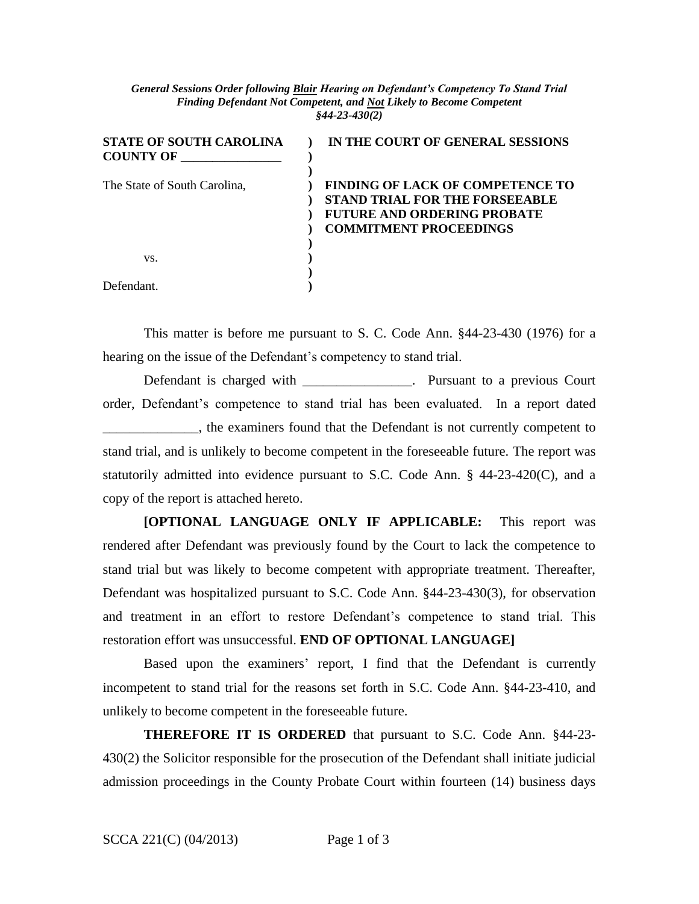## *General Sessions Order following Blair Hearing on Defendant's Competency To Stand Trial Finding Defendant Not Competent, and Not Likely to Become Competent §44-23-430(2)*

| <b>STATE OF SOUTH CAROLINA</b><br><b>COUNTY OF</b> | IN THE COURT OF GENERAL SESSIONS                                                                                                                        |
|----------------------------------------------------|---------------------------------------------------------------------------------------------------------------------------------------------------------|
| The State of South Carolina,                       | <b>FINDING OF LACK OF COMPETENCE TO</b><br><b>STAND TRIAL FOR THE FORSEEABLE</b><br><b>FUTURE AND ORDERING PROBATE</b><br><b>COMMITMENT PROCEEDINGS</b> |
| VS.                                                |                                                                                                                                                         |
| Defendant                                          |                                                                                                                                                         |

This matter is before me pursuant to S. C. Code Ann. §44-23-430 (1976) for a hearing on the issue of the Defendant's competency to stand trial.

Defendant is charged with \_\_\_\_\_\_\_\_\_\_\_\_\_\_\_\_. Pursuant to a previous Court order, Defendant's competence to stand trial has been evaluated. In a report dated \_\_\_\_\_\_\_\_\_\_\_\_\_\_, the examiners found that the Defendant is not currently competent to stand trial, and is unlikely to become competent in the foreseeable future. The report was statutorily admitted into evidence pursuant to S.C. Code Ann. § 44-23-420(C), and a copy of the report is attached hereto.

**[OPTIONAL LANGUAGE ONLY IF APPLICABLE:** This report was rendered after Defendant was previously found by the Court to lack the competence to stand trial but was likely to become competent with appropriate treatment. Thereafter, Defendant was hospitalized pursuant to S.C. Code Ann. §44-23-430(3), for observation and treatment in an effort to restore Defendant's competence to stand trial. This restoration effort was unsuccessful. **END OF OPTIONAL LANGUAGE]**

Based upon the examiners' report, I find that the Defendant is currently incompetent to stand trial for the reasons set forth in S.C. Code Ann. §44-23-410, and unlikely to become competent in the foreseeable future.

**THEREFORE IT IS ORDERED** that pursuant to S.C. Code Ann. §44-23- 430(2) the Solicitor responsible for the prosecution of the Defendant shall initiate judicial admission proceedings in the County Probate Court within fourteen (14) business days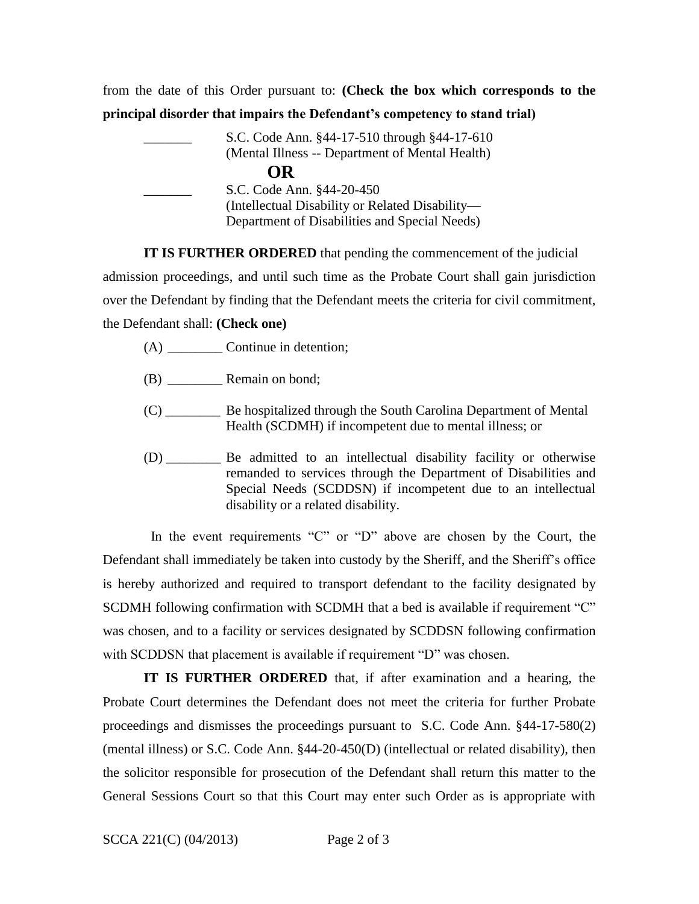from the date of this Order pursuant to: **(Check the box which corresponds to the principal disorder that impairs the Defendant's competency to stand trial)** 

|           | S.C. Code Ann. §44-17-510 through §44-17-610    |  |  |  |
|-----------|-------------------------------------------------|--|--|--|
|           | (Mental Illness -- Department of Mental Health) |  |  |  |
| <b>OR</b> |                                                 |  |  |  |
|           | S.C. Code Ann. §44-20-450                       |  |  |  |
|           | (Intellectual Disability or Related Disability— |  |  |  |
|           | Department of Disabilities and Special Needs)   |  |  |  |

**IT IS FURTHER ORDERED** that pending the commencement of the judicial admission proceedings, and until such time as the Probate Court shall gain jurisdiction over the Defendant by finding that the Defendant meets the criteria for civil commitment, the Defendant shall: **(Check one)**

- (A) Continue in detention;
- (B) \_\_\_\_\_\_\_\_ Remain on bond;
- (C) \_\_\_\_\_\_\_\_ Be hospitalized through the South Carolina Department of Mental Health (SCDMH) if incompetent due to mental illness; or
- (D) \_\_\_\_\_\_\_\_ Be admitted to an intellectual disability facility or otherwise remanded to services through the Department of Disabilities and Special Needs (SCDDSN) if incompetent due to an intellectual disability or a related disability.

 In the event requirements "C" or "D" above are chosen by the Court, the Defendant shall immediately be taken into custody by the Sheriff, and the Sheriff's office is hereby authorized and required to transport defendant to the facility designated by SCDMH following confirmation with SCDMH that a bed is available if requirement "C" was chosen, and to a facility or services designated by SCDDSN following confirmation with SCDDSN that placement is available if requirement "D" was chosen.

**IT IS FURTHER ORDERED** that, if after examination and a hearing, the Probate Court determines the Defendant does not meet the criteria for further Probate proceedings and dismisses the proceedings pursuant to S.C. Code Ann. §44-17-580(2) (mental illness) or S.C. Code Ann. §44-20-450(D) (intellectual or related disability), then the solicitor responsible for prosecution of the Defendant shall return this matter to the General Sessions Court so that this Court may enter such Order as is appropriate with